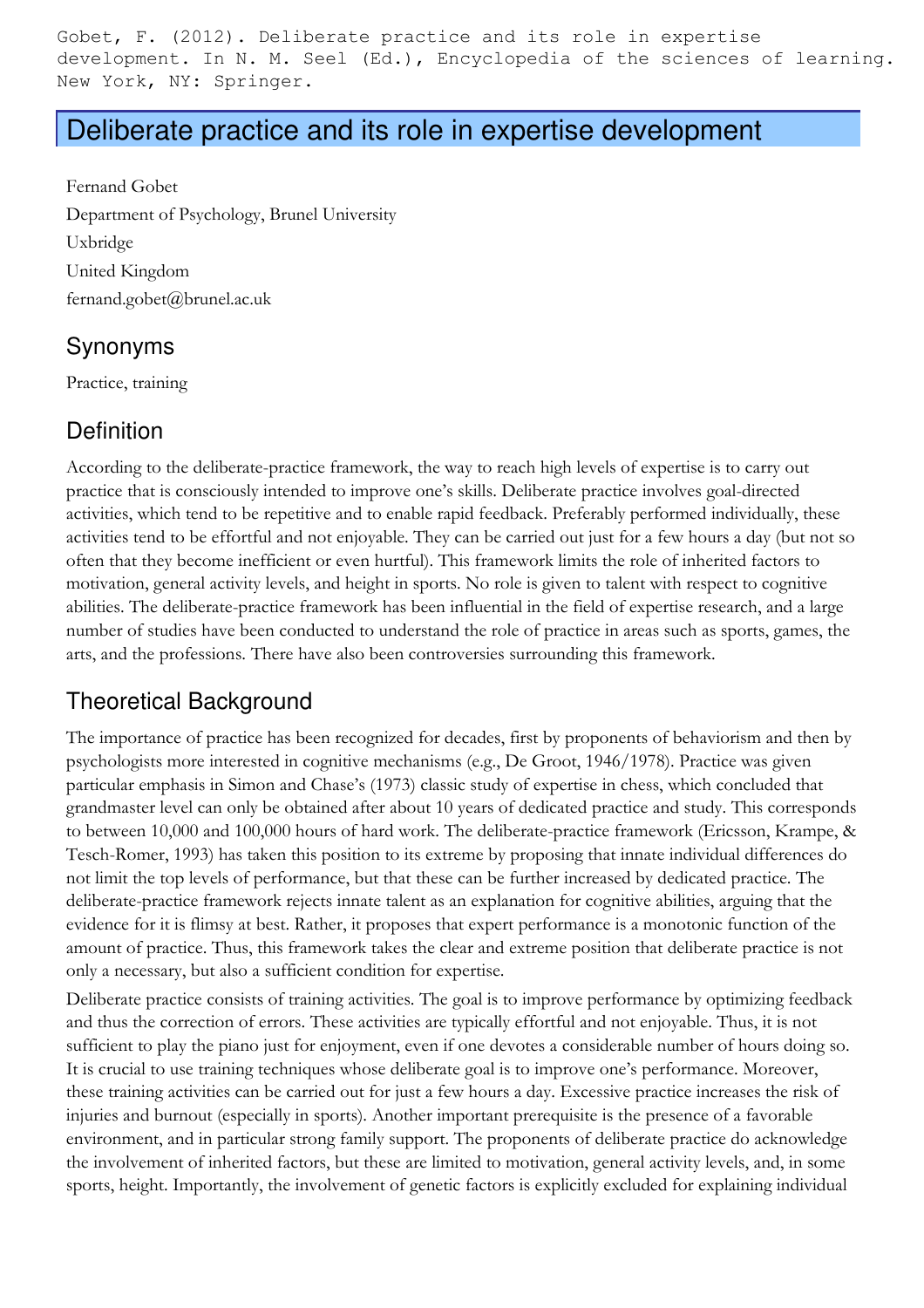Gobet, F. (2012). Deliberate practice and its role in expertise development. In N. M. Seel (Ed.), Encyclopedia of the sciences of learning. New York, NY: Springer.

# Deliberate practice and its role in expertise development

Fernand Gobet Department of Psychology, Brunel University Uxbridge United Kingdom fernand.gobet@brunel.ac.uk

## Synonyms

Practice, training

## **Definition**

According to the deliberate-practice framework, the way to reach high levels of expertise is to carry out practice that is consciously intended to improve one's skills. Deliberate practice involves goal-directed activities, which tend to be repetitive and to enable rapid feedback. Preferably performed individually, these activities tend to be effortful and not enjoyable. They can be carried out just for a few hours a day (but not so often that they become inefficient or even hurtful). This framework limits the role of inherited factors to motivation, general activity levels, and height in sports. No role is given to talent with respect to cognitive abilities. The deliberate-practice framework has been influential in the field of expertise research, and a large number of studies have been conducted to understand the role of practice in areas such as sports, games, the arts, and the professions. There have also been controversies surrounding this framework.

## Theoretical Background

The importance of practice has been recognized for decades, first by proponents of behaviorism and then by psychologists more interested in cognitive mechanisms (e.g., De Groot, 1946/1978). Practice was given particular emphasis in Simon and Chase's (1973) classic study of expertise in chess, which concluded that grandmaster level can only be obtained after about 10 years of dedicated practice and study. This corresponds to between 10,000 and 100,000 hours of hard work. The deliberate-practice framework (Ericsson, Krampe, & Tesch-Romer, 1993) has taken this position to its extreme by proposing that innate individual differences do not limit the top levels of performance, but that these can be further increased by dedicated practice. The deliberate-practice framework rejects innate talent as an explanation for cognitive abilities, arguing that the evidence for it is flimsy at best. Rather, it proposes that expert performance is a monotonic function of the amount of practice. Thus, this framework takes the clear and extreme position that deliberate practice is not only a necessary, but also a sufficient condition for expertise.

Deliberate practice consists of training activities. The goal is to improve performance by optimizing feedback and thus the correction of errors. These activities are typically effortful and not enjoyable. Thus, it is not sufficient to play the piano just for enjoyment, even if one devotes a considerable number of hours doing so. It is crucial to use training techniques whose deliberate goal is to improve one's performance. Moreover, these training activities can be carried out for just a few hours a day. Excessive practice increases the risk of injuries and burnout (especially in sports). Another important prerequisite is the presence of a favorable environment, and in particular strong family support. The proponents of deliberate practice do acknowledge the involvement of inherited factors, but these are limited to motivation, general activity levels, and, in some sports, height. Importantly, the involvement of genetic factors is explicitly excluded for explaining individual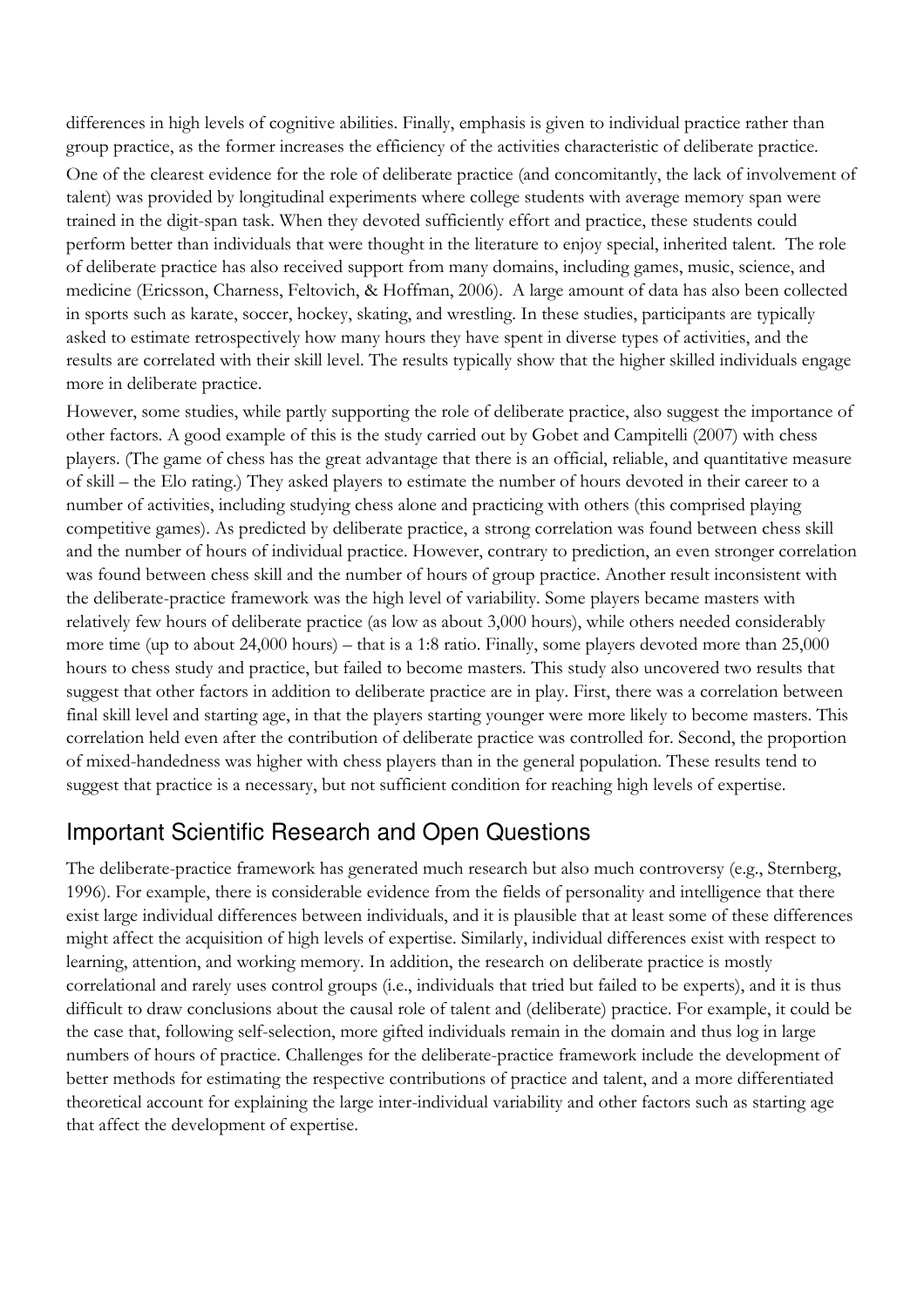differences in high levels of cognitive abilities. Finally, emphasis is given to individual practice rather than group practice, as the former increases the efficiency of the activities characteristic of deliberate practice.

One of the clearest evidence for the role of deliberate practice (and concomitantly, the lack of involvement of talent) was provided by longitudinal experiments where college students with average memory span were trained in the digit-span task. When they devoted sufficiently effort and practice, these students could perform better than individuals that were thought in the literature to enjoy special, inherited talent. The role of deliberate practice has also received support from many domains, including games, music, science, and medicine (Ericsson, Charness, Feltovich, & Hoffman, 2006). A large amount of data has also been collected in sports such as karate, soccer, hockey, skating, and wrestling. In these studies, participants are typically asked to estimate retrospectively how many hours they have spent in diverse types of activities, and the results are correlated with their skill level. The results typically show that the higher skilled individuals engage more in deliberate practice.

However, some studies, while partly supporting the role of deliberate practice, also suggest the importance of other factors. A good example of this is the study carried out by Gobet and Campitelli (2007) with chess players. (The game of chess has the great advantage that there is an official, reliable, and quantitative measure of skill – the Elo rating.) They asked players to estimate the number of hours devoted in their career to a number of activities, including studying chess alone and practicing with others (this comprised playing competitive games). As predicted by deliberate practice, a strong correlation was found between chess skill and the number of hours of individual practice. However, contrary to prediction, an even stronger correlation was found between chess skill and the number of hours of group practice. Another result inconsistent with the deliberate-practice framework was the high level of variability. Some players became masters with relatively few hours of deliberate practice (as low as about 3,000 hours), while others needed considerably more time (up to about 24,000 hours) – that is a 1:8 ratio. Finally, some players devoted more than 25,000 hours to chess study and practice, but failed to become masters. This study also uncovered two results that suggest that other factors in addition to deliberate practice are in play. First, there was a correlation between final skill level and starting age, in that the players starting younger were more likely to become masters. This correlation held even after the contribution of deliberate practice was controlled for. Second, the proportion of mixed-handedness was higher with chess players than in the general population. These results tend to suggest that practice is a necessary, but not sufficient condition for reaching high levels of expertise.

#### Important Scientific Research and Open Questions

The deliberate-practice framework has generated much research but also much controversy (e.g., Sternberg, 1996). For example, there is considerable evidence from the fields of personality and intelligence that there exist large individual differences between individuals, and it is plausible that at least some of these differences might affect the acquisition of high levels of expertise. Similarly, individual differences exist with respect to learning, attention, and working memory. In addition, the research on deliberate practice is mostly correlational and rarely uses control groups (i.e., individuals that tried but failed to be experts), and it is thus difficult to draw conclusions about the causal role of talent and (deliberate) practice. For example, it could be the case that, following self-selection, more gifted individuals remain in the domain and thus log in large numbers of hours of practice. Challenges for the deliberate-practice framework include the development of better methods for estimating the respective contributions of practice and talent, and a more differentiated theoretical account for explaining the large inter-individual variability and other factors such as starting age that affect the development of expertise.